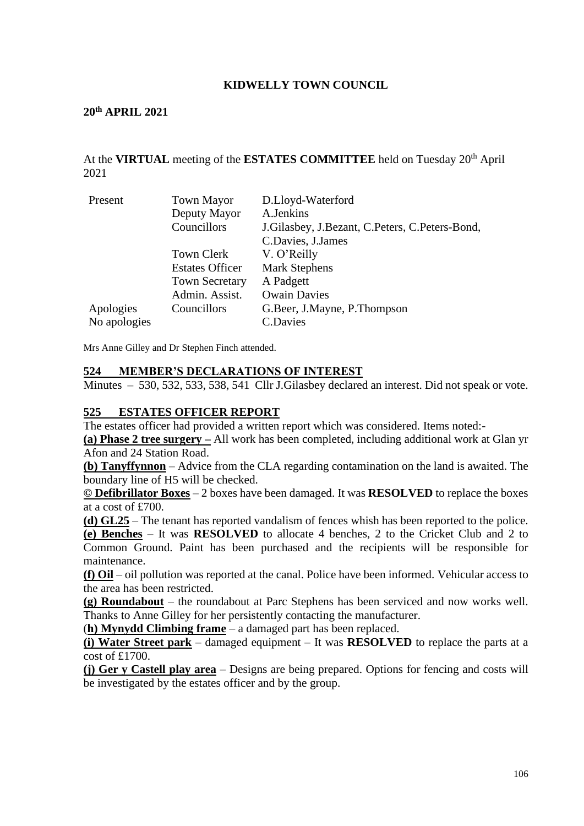### **KIDWELLY TOWN COUNCIL**

#### **20th APRIL 2021**

### At the **VIRTUAL** meeting of the **ESTATES COMMITTEE** held on Tuesday 20th April 2021

| Present      | <b>Town Mayor</b>      | D.Lloyd-Waterford                              |
|--------------|------------------------|------------------------------------------------|
|              | Deputy Mayor           | A.Jenkins                                      |
|              | Councillors            | J.Gilasbey, J.Bezant, C.Peters, C.Peters-Bond, |
|              |                        | C.Davies, J.James                              |
|              | Town Clerk             | V. O'Reilly                                    |
|              | <b>Estates Officer</b> | <b>Mark Stephens</b>                           |
|              | <b>Town Secretary</b>  | A Padgett                                      |
|              | Admin. Assist.         | <b>Owain Davies</b>                            |
| Apologies    | Councillors            | G.Beer, J.Mayne, P.Thompson                    |
| No apologies |                        | <b>C.Davies</b>                                |

Mrs Anne Gilley and Dr Stephen Finch attended.

#### **524 MEMBER'S DECLARATIONS OF INTEREST**

Minutes – 530, 532, 533, 538, 541 Cllr J.Gilasbey declared an interest. Did not speak or vote.

### **525 ESTATES OFFICER REPORT**

The estates officer had provided a written report which was considered. Items noted:-

**(a) Phase 2 tree surgery –** All work has been completed, including additional work at Glan yr Afon and 24 Station Road.

**(b) Tanyffynnon** – Advice from the CLA regarding contamination on the land is awaited. The boundary line of H5 will be checked.

**© Defibrillator Boxes** – 2 boxes have been damaged. It was **RESOLVED** to replace the boxes at a cost of £700.

**(d) GL25** – The tenant has reported vandalism of fences whish has been reported to the police.

**(e) Benches** – It was **RESOLVED** to allocate 4 benches, 2 to the Cricket Club and 2 to Common Ground. Paint has been purchased and the recipients will be responsible for maintenance.

**(f) Oil** – oil pollution was reported at the canal. Police have been informed. Vehicular access to the area has been restricted.

**(g) Roundabout** – the roundabout at Parc Stephens has been serviced and now works well. Thanks to Anne Gilley for her persistently contacting the manufacturer.

(**h) Mynydd Climbing frame** – a damaged part has been replaced.

**(i) Water Street park** – damaged equipment – It was **RESOLVED** to replace the parts at a cost of £1700.

**(j) Ger y Castell play area** – Designs are being prepared. Options for fencing and costs will be investigated by the estates officer and by the group.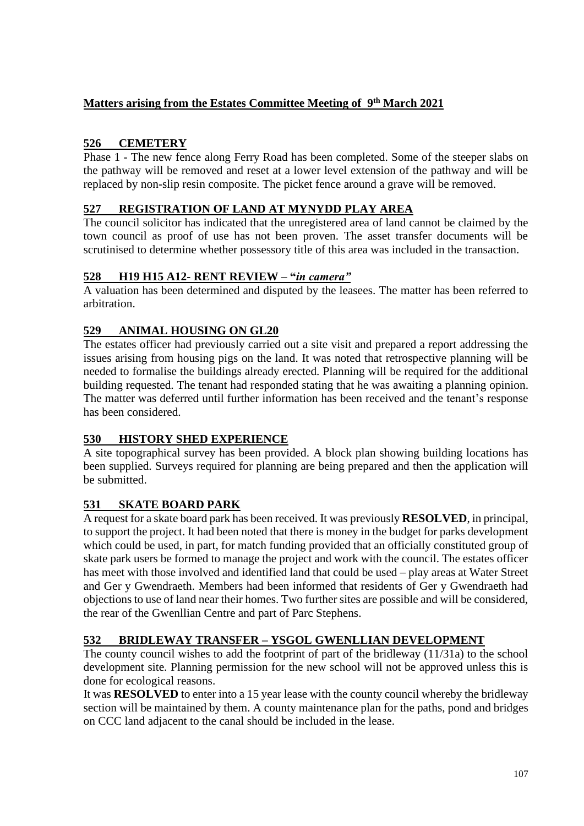# **Matters arising from the Estates Committee Meeting of 9 th March 2021**

# **526 CEMETERY**

Phase 1 - The new fence along Ferry Road has been completed. Some of the steeper slabs on the pathway will be removed and reset at a lower level extension of the pathway and will be replaced by non-slip resin composite. The picket fence around a grave will be removed.

## **527 REGISTRATION OF LAND AT MYNYDD PLAY AREA**

The council solicitor has indicated that the unregistered area of land cannot be claimed by the town council as proof of use has not been proven. The asset transfer documents will be scrutinised to determine whether possessory title of this area was included in the transaction.

## **528 H19 H15 A12- RENT REVIEW – "***in camera"*

A valuation has been determined and disputed by the leasees. The matter has been referred to arbitration.

## **529 ANIMAL HOUSING ON GL20**

The estates officer had previously carried out a site visit and prepared a report addressing the issues arising from housing pigs on the land. It was noted that retrospective planning will be needed to formalise the buildings already erected. Planning will be required for the additional building requested. The tenant had responded stating that he was awaiting a planning opinion. The matter was deferred until further information has been received and the tenant's response has been considered.

## **530 HISTORY SHED EXPERIENCE**

A site topographical survey has been provided. A block plan showing building locations has been supplied. Surveys required for planning are being prepared and then the application will be submitted.

# **531 SKATE BOARD PARK**

A request for a skate board park has been received. It was previously **RESOLVED**, in principal, to support the project. It had been noted that there is money in the budget for parks development which could be used, in part, for match funding provided that an officially constituted group of skate park users be formed to manage the project and work with the council. The estates officer has meet with those involved and identified land that could be used – play areas at Water Street and Ger y Gwendraeth. Members had been informed that residents of Ger y Gwendraeth had objections to use of land near their homes. Two further sites are possible and will be considered, the rear of the Gwenllian Centre and part of Parc Stephens.

## **532 BRIDLEWAY TRANSFER – YSGOL GWENLLIAN DEVELOPMENT**

The county council wishes to add the footprint of part of the bridleway (11/31a) to the school development site. Planning permission for the new school will not be approved unless this is done for ecological reasons.

It was **RESOLVED** to enter into a 15 year lease with the county council whereby the bridleway section will be maintained by them. A county maintenance plan for the paths, pond and bridges on CCC land adjacent to the canal should be included in the lease.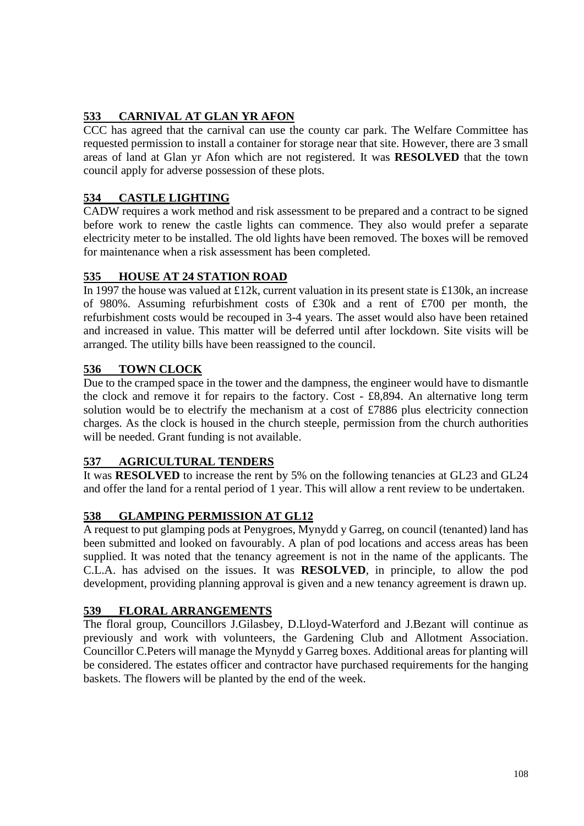# **533 CARNIVAL AT GLAN YR AFON**

CCC has agreed that the carnival can use the county car park. The Welfare Committee has requested permission to install a container for storage near that site. However, there are 3 small areas of land at Glan yr Afon which are not registered. It was **RESOLVED** that the town council apply for adverse possession of these plots.

## **534 CASTLE LIGHTING**

CADW requires a work method and risk assessment to be prepared and a contract to be signed before work to renew the castle lights can commence. They also would prefer a separate electricity meter to be installed. The old lights have been removed. The boxes will be removed for maintenance when a risk assessment has been completed.

## **535 HOUSE AT 24 STATION ROAD**

In 1997 the house was valued at £12k, current valuation in its present state is £130k, an increase of 980%. Assuming refurbishment costs of £30k and a rent of £700 per month, the refurbishment costs would be recouped in 3-4 years. The asset would also have been retained and increased in value. This matter will be deferred until after lockdown. Site visits will be arranged. The utility bills have been reassigned to the council.

## **536 TOWN CLOCK**

Due to the cramped space in the tower and the dampness, the engineer would have to dismantle the clock and remove it for repairs to the factory. Cost - £8,894. An alternative long term solution would be to electrify the mechanism at a cost of £7886 plus electricity connection charges. As the clock is housed in the church steeple, permission from the church authorities will be needed. Grant funding is not available.

## **537 AGRICULTURAL TENDERS**

It was **RESOLVED** to increase the rent by 5% on the following tenancies at GL23 and GL24 and offer the land for a rental period of 1 year. This will allow a rent review to be undertaken.

## **538 GLAMPING PERMISSION AT GL12**

A request to put glamping pods at Penygroes, Mynydd y Garreg, on council (tenanted) land has been submitted and looked on favourably. A plan of pod locations and access areas has been supplied. It was noted that the tenancy agreement is not in the name of the applicants. The C.L.A. has advised on the issues. It was **RESOLVED**, in principle, to allow the pod development, providing planning approval is given and a new tenancy agreement is drawn up.

## **539 FLORAL ARRANGEMENTS**

The floral group, Councillors J.Gilasbey, D.Lloyd-Waterford and J.Bezant will continue as previously and work with volunteers, the Gardening Club and Allotment Association. Councillor C.Peters will manage the Mynydd y Garreg boxes. Additional areas for planting will be considered. The estates officer and contractor have purchased requirements for the hanging baskets. The flowers will be planted by the end of the week.